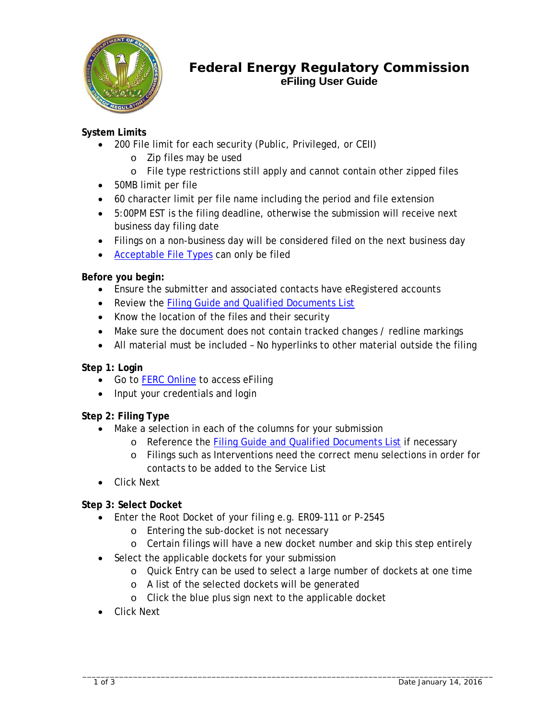

# **Federal Energy Regulatory Commission eFiling User Guide**

## **System Limits**

- 200 File limit for each security (Public, Privileged, or CEII)
	- o Zip files may be used
	- o File type restrictions still apply and cannot contain other zipped files
- 50MB limit per file
- 60 character limit per file name including the period and file extension
- 5:00PM EST is the filing deadline, otherwise the submission will receive next business day filing date
- Filings on a non-business day will be considered filed on the next business day
- [Acceptable File Types](http://www.ferc.gov/docs-filing/elibrary/accept-file-formats.asp) can only be filed

### **Before you begin:**

- Ensure the submitter and associated contacts have eRegistered accounts
- Review the [Filing Guide and Qualified Documents List](http://www.ferc.gov/docs-filing/efiling/filing.pdf)
- Know the location of the files and their security
- Make sure the document does not contain tracked changes / redline markings
- All material must be included No hyperlinks to other material outside the filing

## **Step 1: Login**

- Go to [FERC Online](http://www.ferc.gov/docs-filing/ferconline.asp) to access eFiling
- Input your credentials and login

## **Step 2: Filing Type**

- Make a selection in each of the columns for your submission
	- o Reference the [Filing Guide and Qualified Documents List](http://www.ferc.gov/docs-filing/efiling/filing.pdf) if necessary
	- o Filings such as Interventions need the correct menu selections in order for contacts to be added to the Service List
- Click Next

## **Step 3: Select Docket**

- Enter the Root Docket of your filing e.g. ER09-111 or P-2545
	- o Entering the sub-docket is not necessary
	- o Certain filings will have a new docket number and skip this step entirely
- Select the applicable dockets for your submission
	- o Quick Entry can be used to select a large number of dockets at one time
	- o A list of the selected dockets will be generated
	- o Click the blue plus sign next to the applicable docket
- Click Next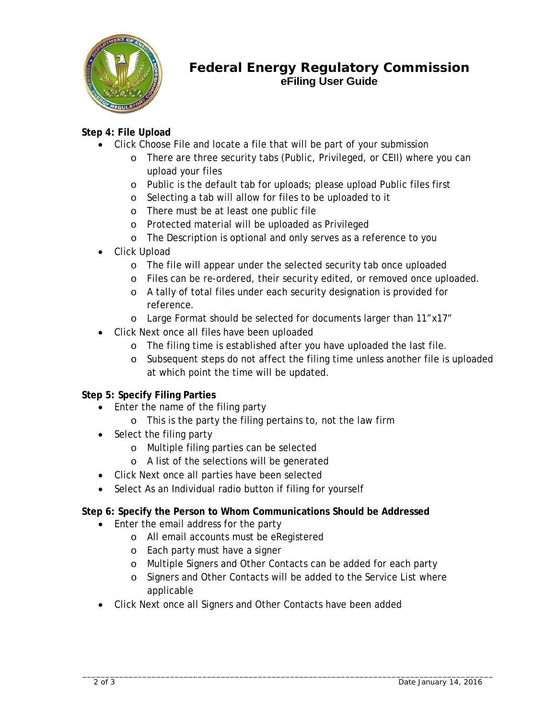

# **Federal Energy Regulatory Commission eFiling User Guide**

## **Step 4: File Upload**

- Click Choose File and locate a file that will be part of your submission
	- o There are three security tabs (Public, Privileged, or CEII) where you can upload your files
	- o Public is the default tab for uploads; please upload Public files first
	- o Selecting a tab will allow for files to be uploaded to it
	- o There must be at least one public file
	- o Protected material will be uploaded as Privileged
	- o The Description is optional and only serves as a reference to you
- Click Upload
	- o The file will appear under the selected security tab once uploaded
	- o Files can be re-ordered, their security edited, or removed once uploaded.
	- o A tally of total files under each security designation is provided for reference.
	- o Large Format should be selected for documents larger than 11"x17"
- Click Next once all files have been uploaded
	- o The filing time is established after you have uploaded the last file.
	- o Subsequent steps do not affect the filing time unless another file is uploaded at which point the time will be updated.

#### **Step 5: Specify Filing Parties**

- Enter the name of the filing party
	- o This is the party the filing pertains to, not the law firm
- Select the filing party
	- o Multiple filing parties can be selected
	- o A list of the selections will be generated
- Click Next once all parties have been selected
- Select As an Individual radio button if filing for yourself

#### **Step 6: Specify the Person to Whom Communications Should be Addressed**

- Enter the email address for the party
	- o All email accounts must be eRegistered
	- o Each party must have a signer
	- o Multiple Signers and Other Contacts can be added for each party
	- o Signers and Other Contacts will be added to the Service List where applicable
- Click Next once all Signers and Other Contacts have been added